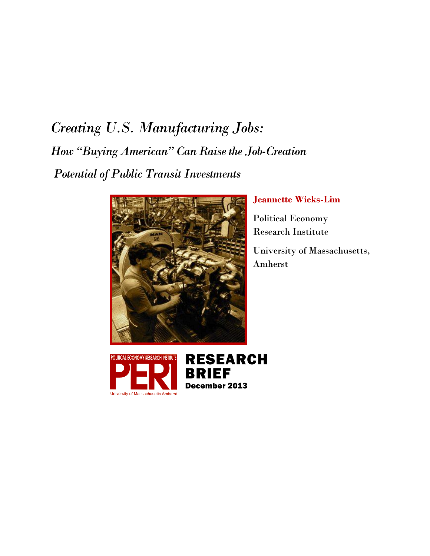# *Creating U.S. Manufacturing Jobs: How "Buying American" Can Raise the Job-Creation Potential of Public Transit Investments*



# **Jeannette Wicks-Lim**

Political Economy Research Institute

University of Massachusetts, Amherst

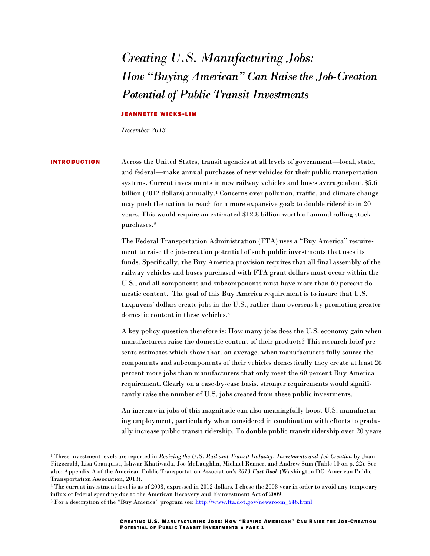# *Creating U.S. Manufacturing Jobs: How "Buying American" Can Raise the Job-Creation Potential of Public Transit Investments*

# JEANNETTE WICKS-LIM

*December 2013*

 $\overline{a}$ 

INTRODUCTION Across the United States, transit agencies at all levels of government—local, state, and federal—make annual purchases of new vehicles for their public transportation systems. Current investments in new railway vehicles and buses average about \$5.6 billion (2012 dollars) annually.<sup>1</sup> Concerns over pollution, traffic, and climate change may push the nation to reach for a more expansive goal: to double ridership in 20 years. This would require an estimated \$12.8 billion worth of annual rolling stock purchases.<sup>2</sup>

> The Federal Transportation Administration (FTA) uses a "Buy America" requirement to raise the job-creation potential of such public investments that uses its funds. Specifically, the Buy America provision requires that all final assembly of the railway vehicles and buses purchased with FTA grant dollars must occur within the U.S., and all components and subcomponents must have more than 60 percent domestic content. The goal of this Buy America requirement is to insure that U.S. taxpayers' dollars create jobs in the U.S., rather than overseas by promoting greater domestic content in these vehicles.<sup>3</sup>

> A key policy question therefore is: How many jobs does the U.S. economy gain when manufacturers raise the domestic content of their products? This research brief presents estimates which show that, on average, when manufacturers fully source the components and subcomponents of their vehicles domestically they create at least 26 percent more jobs than manufacturers that only meet the 60 percent Buy America requirement. Clearly on a case-by-case basis, stronger requirements would significantly raise the number of U.S. jobs created from these public investments.

> An increase in jobs of this magnitude can also meaningfully boost U.S. manufacturing employment, particularly when considered in combination with efforts to gradually increase public transit ridership. To double public transit ridership over 20 years

<sup>1</sup> These investment levels are reported in *Reviving the U.S. Rail and Transit Industry: Investments and Job Creation* by Joan Fitzgerald, Lisa Granquist, Ishwar Khatiwada, Joe McLaughlin, Michael Renner, and Andrew Sum (Table 10 on p. 22). See also: Appendix A of the American Public Transportation Association's *2013 Fact Book* (Washington DC: American Public Transportation Association, 2013).

<sup>2</sup> The current investment level is as of 2008, expressed in 2012 dollars. I chose the 2008 year in order to avoid any temporary influx of federal spending due to the American Recovery and Reinvestment Act of 2009.

<sup>&</sup>lt;sup>3</sup> For a description of the "Buy America" program see: http://www.fta.dot.gov/newsroom 546.html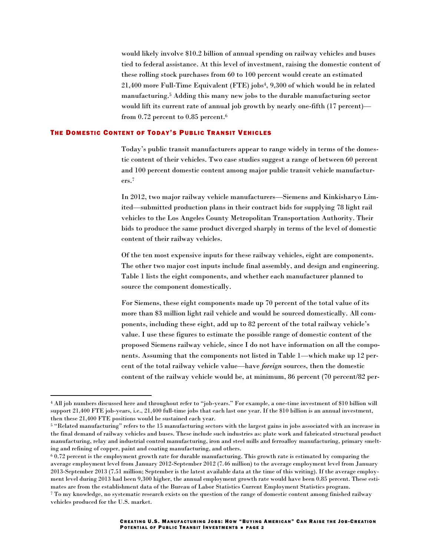would likely involve \$10.2 billion of annual spending on railway vehicles and buses tied to federal assistance. At this level of investment, raising the domestic content of these rolling stock purchases from 60 to 100 percent would create an estimated 21,400 more Full-Time Equivalent (FTE) jobs4, 9,300 of which would be in related manufacturing.<sup>5</sup> Adding this many new jobs to the durable manufacturing sector would lift its current rate of annual job growth by nearly one-fifth (17 percent) from 0.72 percent to 0.85 percent.<sup>6</sup>

## THE DOMESTIC CONTENT OF TODAY'S PUBLIC TRANSIT VEHICLES

Today's public transit manufacturers appear to range widely in terms of the domestic content of their vehicles. Two case studies suggest a range of between 60 percent and 100 percent domestic content among major public transit vehicle manufacturers.<sup>7</sup>

In 2012, two major railway vehicle manufacturers—Siemens and Kinkisharyo Limited—submitted production plans in their contract bids for supplying 78 light rail vehicles to the Los Angeles County Metropolitan Transportation Authority. Their bids to produce the same product diverged sharply in terms of the level of domestic content of their railway vehicles.

Of the ten most expensive inputs for these railway vehicles, eight are components. The other two major cost inputs include final assembly, and design and engineering. Table 1 lists the eight components, and whether each manufacturer planned to source the component domestically.

For Siemens, these eight components made up 70 percent of the total value of its more than \$3 million light rail vehicle and would be sourced domestically. All components, including these eight, add up to 82 percent of the total railway vehicle's value. I use these figures to estimate the possible range of domestic content of the proposed Siemens railway vehicle, since I do not have information on all the components. Assuming that the components not listed in Table 1—which make up 12 percent of the total railway vehicle value—have *foreign* sources, then the domestic content of the railway vehicle would be, at minimum, 86 percent (70 percent/82 per-

l

<sup>4</sup> All job numbers discussed here and throughout refer to "job-years." For example, a one-time investment of \$10 billion will support 21,400 FTE job-years, i.e., 21,400 full-time jobs that each last one year. If the \$10 billion is an annual investment, then these 21,400 FTE positions would be sustained each year.

<sup>5</sup> "Related manufacturing" refers to the 15 manufacturing sectors with the largest gains in jobs associated with an increase in the final demand of railway vehicles and buses. These include such industries as: plate work and fabricated structural product manufacturing, relay and industrial control manufacturing, iron and steel mills and ferroalloy manufacturing, primary smelting and refining of copper, paint and coating manufacturing, and others.

 $60.72$  percent is the employment growth rate for durable manufacturing. This growth rate is estimated by comparing the average employment level from January 2012-September 2012 (7.46 million) to the average employment level from January 2013-September 2013 (7.51 million; September is the latest available data at the time of this writing). If the average employment level during 2013 had been 9,300 higher, the annual employment growth rate would have been 0.85 percent. These estimates are from the establishment data of the Bureau of Labor Statistics Current Employment Statistics program. <sup>7</sup> To my knowledge, no systematic research exists on the question of the range of domestic content among finished railway

vehicles produced for the U.S. market.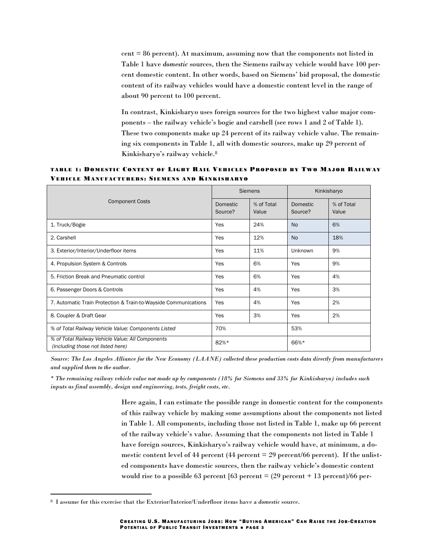cent = 86 percent). At maximum, assuming now that the components not listed in Table 1 have *domestic* sources, then the Siemens railway vehicle would have 100 percent domestic content. In other words, based on Siemens' bid proposal, the domestic content of its railway vehicles would have a domestic content level in the range of about 90 percent to 100 percent.

In contrast, Kinkisharyo uses foreign sources for the two highest value major components – the railway vehicle's bogie and carshell (see rows 1 and 2 of Table 1). These two components make up 24 percent of its railway vehicle value. The remaining six components in Table 1, all with domestic sources, make up 29 percent of Kinkisharyo's railway vehicle.<sup>8</sup>

TABLE 1: DOMESTIC CONTENT OF LIGHT RAIL VEHICLES PROPOSED BY TWO MAJOR RAILWAY VEHICLE MANUFACTURERS: SIEMENS AND KINKISHARYO

| <b>Component Costs</b>                                                                | <b>Siemens</b>             |                     | Kinkisharyo         |                     |
|---------------------------------------------------------------------------------------|----------------------------|---------------------|---------------------|---------------------|
|                                                                                       | <b>Domestic</b><br>Source? | % of Total<br>Value | Domestic<br>Source? | % of Total<br>Value |
| 1. Truck/Bogie                                                                        | Yes                        | 24%                 | <b>No</b>           | 6%                  |
| 2. Carshell                                                                           | Yes                        | 12%                 | <b>No</b>           | 18%                 |
| 3. Exterior/Interior/Underfloor items                                                 | Yes                        | 11%                 | Unknown             | 9%                  |
| 4. Propulsion System & Controls                                                       | Yes                        | 6%                  | Yes                 | 9%                  |
| 5. Friction Break and Pneumatic control                                               | Yes                        | 6%                  | Yes                 | 4%                  |
| 6. Passenger Doors & Controls                                                         | Yes                        | 4%                  | Yes                 | 3%                  |
| 7. Automatic Train Protection & Train-to-Wayside Communications                       | Yes                        | 4%                  | Yes                 | 2%                  |
| 8. Coupler & Draft Gear                                                               | Yes                        | 3%                  | Yes                 | 2%                  |
| % of Total Railway Vehicle Value: Components Listed                                   | 70%                        |                     | 53%                 |                     |
| % of Total Railway Vehicle Value: All Components<br>(including those not listed here) | 82%*                       |                     | 66%*                |                     |

*Source: The Los Angeles Alliance for the New Economy (LAANE) collected these production costs data directly from manufacturers and supplied them to the author.* 

*\* The remaining railway vehicle value not made up by components (18% for Siemens and 33% for Kinkisharyo) includes such inputs as final assembly, design and engineering, tests, freight costs, etc.*

> Here again, I can estimate the possible range in domestic content for the components of this railway vehicle by making some assumptions about the components not listed in Table 1. All components, including those not listed in Table 1, make up 66 percent of the railway vehicle's value. Assuming that the components not listed in Table 1 have foreign sources, Kinkisharyo's railway vehicle would have, at minimum, a domestic content level of 44 percent (44 percent  $= 29$  percent/66 percent). If the unlisted components have domestic sources, then the railway vehicle's domestic content would rise to a possible 63 percent [63 percent =  $(29$  percent + 13 percent)/66 per-

<sup>8</sup> I assume for this exercise that the Exterior/Interior/Underfloor items have a *domestic* source.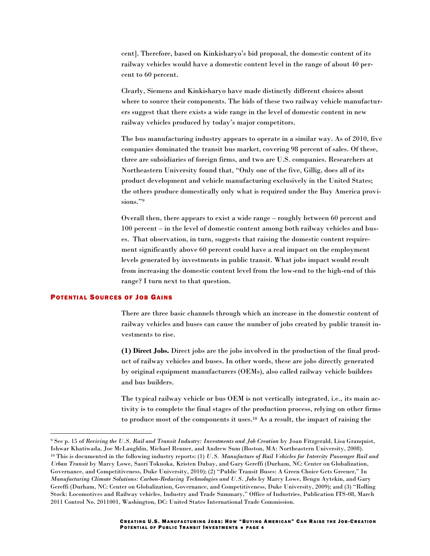cent]. Therefore, based on Kinkisharyo's bid proposal, the domestic content of its railway vehicles would have a domestic content level in the range of about 40 percent to 60 percent.

Clearly, Siemens and Kinkisharyo have made distinctly different choices about where to source their components. The bids of these two railway vehicle manufacturers suggest that there exists a wide range in the level of domestic content in new railway vehicles produced by today's major competitors.

The bus manufacturing industry appears to operate in a similar way. As of 2010, five companies dominated the transit bus market, covering 98 percent of sales. Of these, three are subsidiaries of foreign firms, and two are U.S. companies. Researchers at Northeastern University found that, "Only one of the five, Gillig, does all of its product development and vehicle manufacturing exclusively in the United States; the others produce domestically only what is required under the Buy America provisions."9

Overall then, there appears to exist a wide range – roughly between 60 percent and 100 percent – in the level of domestic content among both railway vehicles and buses. That observation, in turn, suggests that raising the domestic content requirement significantly above 60 percent could have a real impact on the employment levels generated by investments in public transit. What jobs impact would result from increasing the domestic content level from the low-end to the high-end of this range? I turn next to that question.

# POTENTIAL SOURCES OF JOB GAINS

l

There are three basic channels through which an increase in the domestic content of railway vehicles and buses can cause the number of jobs created by public transit investments to rise.

**(1) Direct Jobs.** Direct jobs are the jobs involved in the production of the final product of railway vehicles and buses. In other words, these are jobs directly generated by original equipment manufacturers (OEMs), also called railway vehicle builders and bus builders.

The typical railway vehicle or bus OEM is not vertically integrated, i.e., its main activity is to complete the final stages of the production process, relying on other firms to produce most of the components it uses.<sup>10</sup> As a result, the impact of raising the

<sup>9</sup> See p. 15 of *Reviving the U.S. Rail and Transit Industry: Investments and Job Creation* by Joan Fitzgerald, Lisa Granquist, Ishwar Khatiwada, Joe McLaughlin, Michael Renner, and Andrew Sum (Boston, MA: Northeastern University, 2008). <sup>10</sup> This is documented in the following industry reports: (1) *U.S. Manufacture of Rail Vehicles for Intercity Passenger Rail and Urban Transit* by Marcy Lowe, Saori Tokuoka, Kristen Dubay, and Gary Gereffi (Durham, NC: Center on Globalization, Governance, and Competitiveness, Duke University, 2010); (2) "Public Transit Buses: A Green Choice Gets Greener," In *Manufacturing Climate Solutions: Carbon-Reducing Technologies and U.S. Jobs* by Marcy Lowe, Bengu Aytekin, and Gary Gereffi (Durham, NC: Center on Globalization, Governance, and Competitiveness, Duke University, 2009); and (3) "Rolling Stock: Locomotives and Railway vehicles, Industry and Trade Summary," Office of Industries, Publication ITS-08, March 2011 Control No. 2011001, Washington, DC: United States International Trade Commission.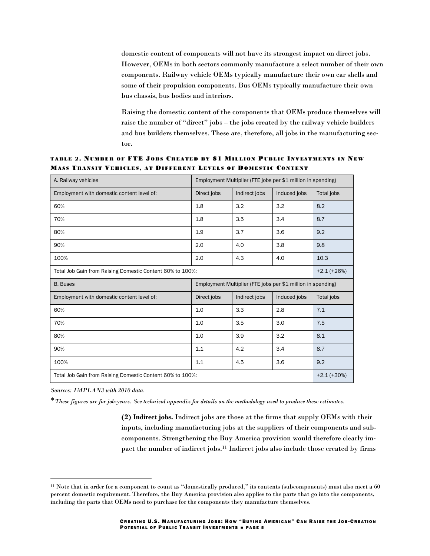domestic content of components will not have its strongest impact on direct jobs. However, OEMs in both sectors commonly manufacture a select number of their own components. Railway vehicle OEMs typically manufacture their own car shells and some of their propulsion components. Bus OEMs typically manufacture their own bus chassis, bus bodies and interiors.

Raising the domestic content of the components that OEMs produce themselves will raise the number of "direct" jobs – the jobs created by the railway vehicle builders and bus builders themselves. These are, therefore, all jobs in the manufacturing sector.

TABLE 2. NUMBER OF FTE JOBS CREATED BY \$1 MILLION PUBLIC INVESTMENTS IN NEW MASS TRANSIT VEHICLES, AT DIFFERENT LEVELS OF DOMESTIC CONTENT

| A. Railway vehicles                                       | Employment Multiplier (FTE jobs per \$1 million in spending) |               |              |            |  |
|-----------------------------------------------------------|--------------------------------------------------------------|---------------|--------------|------------|--|
| Employment with domestic content level of:                | Direct jobs                                                  | Indirect jobs | Induced jobs | Total jobs |  |
| 60%                                                       | 1.8                                                          | 3.2           | 3.2          | 8.2        |  |
| 70%                                                       | 1.8                                                          | 3.5           | 3.4          | 8.7        |  |
| 80%                                                       | 1.9                                                          | 3.7           | 3.6          | 9.2        |  |
| 90%                                                       | 2.0                                                          | 4.0           | 3.8          | 9.8        |  |
| 100%                                                      | 2.0                                                          | 4.3           | 4.0          | 10.3       |  |
| Total Job Gain from Raising Domestic Content 60% to 100%: |                                                              |               |              |            |  |
| <b>B.</b> Buses                                           | Employment Multiplier (FTE jobs per \$1 million in spending) |               |              |            |  |
| Employment with domestic content level of:                | Direct jobs                                                  | Indirect jobs | Induced jobs | Total jobs |  |
| 60%                                                       | 1.0                                                          | 3.3           | 2.8          | 7.1        |  |
| 70%                                                       | 1.0                                                          | 3.5           | 3.0          | 7.5        |  |
| 80%                                                       |                                                              |               |              |            |  |
|                                                           | 1.0                                                          | 3.9           | 3.2          | 8.1        |  |
| 90%                                                       | 1.1                                                          | 4.2           | 3.4          | 8.7        |  |
| 100%                                                      | 1.1                                                          | 4.5           | 3.6          | 9.2        |  |

*Sources: IMPLAN3 with 2010 data.*

 $\overline{\phantom{a}}$ 

\**These figures are for job-years. See technical appendix for details on the methodology used to produce these estimates.*

**(2) Indirect jobs.** Indirect jobs are those at the firms that supply OEMs with their inputs, including manufacturing jobs at the suppliers of their components and subcomponents. Strengthening the Buy America provision would therefore clearly impact the number of indirect jobs.<sup>11</sup> Indirect jobs also include those created by firms

<sup>11</sup> Note that in order for a component to count as "domestically produced," its contents (subcomponents) must also meet a 60 percent domestic requirement. Therefore, the Buy America provision also applies to the parts that go into the components, including the parts that OEMs need to purchase for the components they manufacture themselves.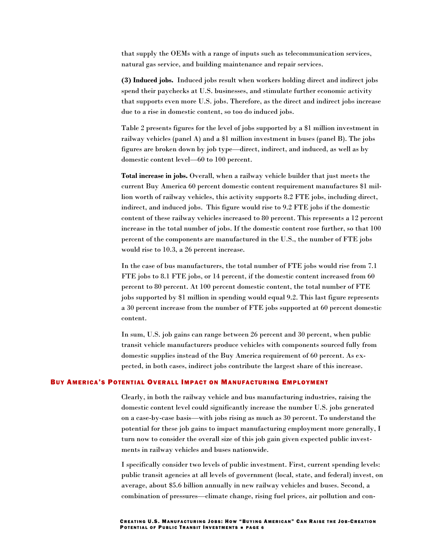that supply the OEMs with a range of inputs such as telecommunication services, natural gas service, and building maintenance and repair services.

**(3) Induced jobs.** Induced jobs result when workers holding direct and indirect jobs spend their paychecks at U.S. businesses, and stimulate further economic activity that supports even more U.S. jobs. Therefore, as the direct and indirect jobs increase due to a rise in domestic content, so too do induced jobs.

Table 2 presents figures for the level of jobs supported by a \$1 million investment in railway vehicles (panel A) and a \$1 million investment in buses (panel B). The jobs figures are broken down by job type—direct, indirect, and induced, as well as by domestic content level—60 to 100 percent.

**Total increase in jobs.** Overall, when a railway vehicle builder that just meets the current Buy America 60 percent domestic content requirement manufactures \$1 million worth of railway vehicles, this activity supports 8.2 FTE jobs, including direct, indirect, and induced jobs. This figure would rise to 9.2 FTE jobs if the domestic content of these railway vehicles increased to 80 percent. This represents a 12 percent increase in the total number of jobs. If the domestic content rose further, so that 100 percent of the components are manufactured in the U.S., the number of FTE jobs would rise to 10.3, a 26 percent increase.

In the case of bus manufacturers, the total number of FTE jobs would rise from 7.1 FTE jobs to 8.1 FTE jobs, or 14 percent, if the domestic content increased from 60 percent to 80 percent. At 100 percent domestic content, the total number of FTE jobs supported by \$1 million in spending would equal 9.2. This last figure represents a 30 percent increase from the number of FTE jobs supported at 60 percent domestic content.

In sum, U.S. job gains can range between 26 percent and 30 percent, when public transit vehicle manufacturers produce vehicles with components sourced fully from domestic supplies instead of the Buy America requirement of 60 percent. As expected, in both cases, indirect jobs contribute the largest share of this increase.

### BUY AMERICA'S POTENTIAL OVERALL IMPACT ON MANUFACTURING EMPLOYMENT

Clearly, in both the railway vehicle and bus manufacturing industries, raising the domestic content level could significantly increase the number U.S. jobs generated on a case-by-case basis—with jobs rising as much as 30 percent. To understand the potential for these job gains to impact manufacturing employment more generally, I turn now to consider the overall size of this job gain given expected public investments in railway vehicles and buses nationwide.

I specifically consider two levels of public investment. First, current spending levels: public transit agencies at all levels of government (local, state, and federal) invest, on average, about \$5.6 billion annually in new railway vehicles and buses. Second, a combination of pressures—climate change, rising fuel prices, air pollution and con-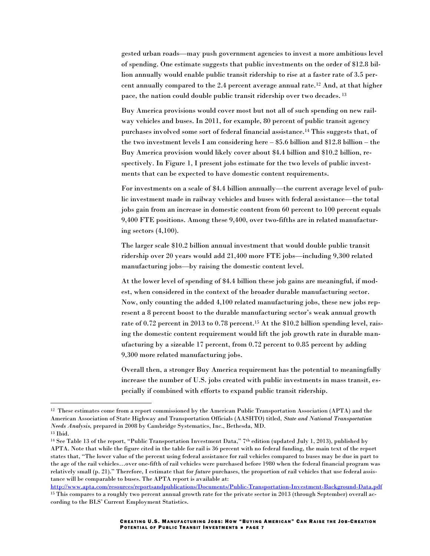gested urban roads—may push government agencies to invest a more ambitious level of spending. One estimate suggests that public investments on the order of \$12.8 billion annually would enable public transit ridership to rise at a faster rate of 3.5 percent annually compared to the 2.4 percent average annual rate.<sup>12</sup> And, at that higher pace, the nation could double public transit ridership over two decades. <sup>13</sup>

Buy America provisions would cover most but not all of such spending on new railway vehicles and buses. In 2011, for example, 80 percent of public transit agency purchases involved some sort of federal financial assistance.<sup>14</sup> This suggests that, of the two investment levels I am considering here – \$5.6 billion and \$12.8 billion – the Buy America provision would likely cover about \$4.4 billion and \$10.2 billion, respectively. In Figure 1, I present jobs estimate for the two levels of public investments that can be expected to have domestic content requirements.

For investments on a scale of \$4.4 billion annually—the current average level of public investment made in railway vehicles and buses with federal assistance—the total jobs gain from an increase in domestic content from 60 percent to 100 percent equals 9,400 FTE positions. Among these 9,400, over two-fifths are in related manufacturing sectors (4,100).

The larger scale \$10.2 billion annual investment that would double public transit ridership over 20 years would add 21,400 more FTE jobs—including 9,300 related manufacturing jobs—by raising the domestic content level.

At the lower level of spending of \$4.4 billion these job gains are meaningful, if modest, when considered in the context of the broader durable manufacturing sector. Now, only counting the added 4,100 related manufacturing jobs, these new jobs represent a 8 percent boost to the durable manufacturing sector's weak annual growth rate of 0.72 percent in 2013 to 0.78 percent.<sup>15</sup> At the \$10.2 billion spending level, raising the domestic content requirement would lift the job growth rate in durable manufacturing by a sizeable 17 percent, from  $0.72$  percent to  $0.85$  percent by adding 9,300 more related manufacturing jobs.

Overall then, a stronger Buy America requirement has the potential to meaningfully increase the number of U.S. jobs created with public investments in mass transit, especially if combined with efforts to expand public transit ridership.

<sup>13</sup> Ibid.

 $\overline{a}$ 

<sup>14</sup> See Table 13 of the report, "Public Transportation Investment Data," 7th edition (updated July 1, 2013), published by APTA. Note that while the figure cited in the table for rail is 36 percent with no federal funding, the main text of the report states that, "The lower value of the percent using federal assistance for rail vehicles compared to buses may be due in part to the age of the rail vehicles…over one-fifth of rail vehicles were purchased before 1980 when the federal financial program was relatively small (p. 21)." Therefore, I estimate that for *future* purchases, the proportion of rail vehicles that use federal assistance will be comparable to buses. The APTA report is available at:

<http://www.apta.com/resources/reportsandpublications/Documents/Public-Transportation-Investment-Background-Data.pdf> <sup>15</sup> This compares to a roughly two percent annual growth rate for the private sector in 2013 (through September) overall according to the BLS' Current Employment Statistics.

<sup>12</sup> These estimates come from a report commissioned by the American Public Transportation Association (APTA) and the American Association of State Highway and Transportation Officials (AASHTO) titled, *State and National Transportation Needs Analysis,* prepared in 2008 by Cambridge Systematics, Inc., Bethesda, MD.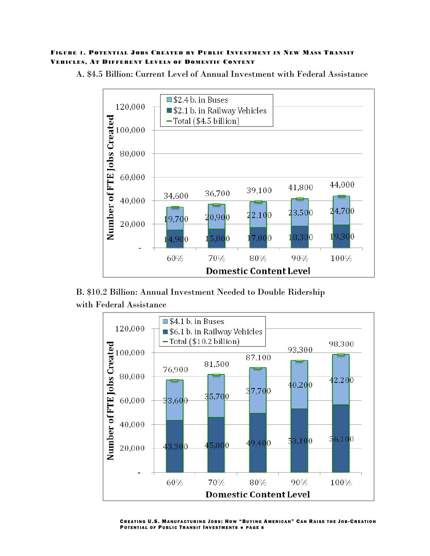# FIGURE 1. POTENTIAL JOBS CREATED BY PUBLIC INVESTMENT IN NEW MASS TRANSIT VEHICLES, AT DIFFERENT LEVELS OF DOMESTIC CONTENT



A. \$4.5 Billion: Current Level of Annual Investment with Federal Assistance

B. \$10.2 Billion: Annual Investment Needed to Double Ridership with Federal Assistance



CREATING U.S. MANUFACTURING JOBS: HOW "BUYING AMERICAN" CAN RAISE THE JOB-CREATION POTENTIAL OF PUBLIC TRANSIT INVESTMENTS . PAGE 8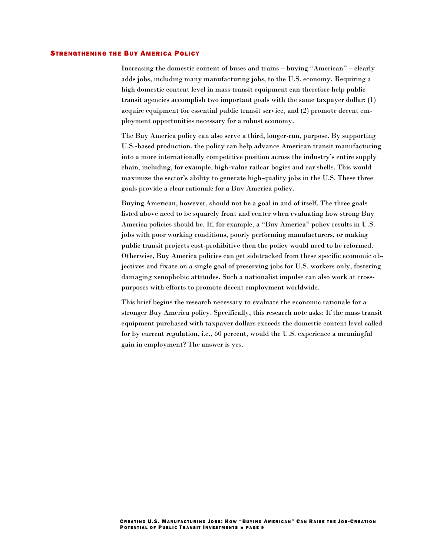#### **STRENGTHENING THE BUY AMERICA POLICY**

Increasing the domestic content of buses and trains – buying "American" – clearly adds jobs, including many manufacturing jobs, to the U.S. economy. Requiring a high domestic content level in mass transit equipment can therefore help public transit agencies accomplish two important goals with the same taxpayer dollar: (1) acquire equipment for essential public transit service, and (2) promote decent employment opportunities necessary for a robust economy.

The Buy America policy can also serve a third, longer-run, purpose. By supporting U.S.-based production, the policy can help advance American transit manufacturing into a more internationally competitive position across the industry's entire supply chain, including, for example, high-value railcar bogies and car shells. This would maximize the sector's ability to generate high-quality jobs in the U.S. These three goals provide a clear rationale for a Buy America policy.

Buying American, however, should not be a goal in and of itself. The three goals listed above need to be squarely front and center when evaluating how strong Buy America policies should be. If, for example, a "Buy America" policy results in U.S. jobs with poor working conditions, poorly performing manufacturers, or making public transit projects cost-prohibitive then the policy would need to be reformed. Otherwise, Buy America policies can get sidetracked from these specific economic objectives and fixate on a single goal of preserving jobs for U.S. workers only, fostering damaging xenophobic attitudes. Such a nationalist impulse can also work at crosspurposes with efforts to promote decent employment worldwide.

This brief begins the research necessary to evaluate the economic rationale for a stronger Buy America policy. Specifically, this research note asks: If the mass transit equipment purchased with taxpayer dollars exceeds the domestic content level called for by current regulation, i.e., 60 percent, would the U.S. experience a meaningful gain in employment? The answer is yes.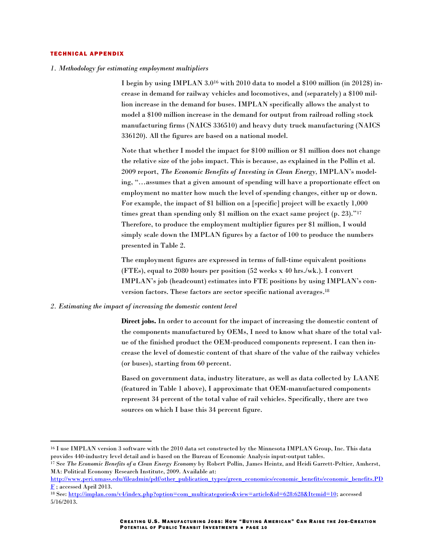#### **TECHNICAL APPENDIX**

 $\overline{a}$ 

*1. Methodology for estimating employment multipliers*

I begin by using IMPLAN  $3.0^{16}$  with 2010 data to model a \$100 million (in 2012\$) increase in demand for railway vehicles and locomotives, and (separately) a \$100 million increase in the demand for buses. IMPLAN specifically allows the analyst to model a \$100 million increase in the demand for output from railroad rolling stock manufacturing firms (NAICS 336510) and heavy duty truck manufacturing (NAICS 336120). All the figures are based on a national model.

Note that whether I model the impact for \$100 million or \$1 million does not change the relative size of the jobs impact. This is because, as explained in the Pollin et al. 2009 report, *The Economic Benefits of Investing in Clean Energy,* IMPLAN's modeling, "…assumes that a given amount of spending will have a proportionate effect on employment no matter how much the level of spending changes, either up or down. For example, the impact of \$1 billion on a [specific] project will be exactly 1,000 times great than spending only \$1 million on the exact same project (p. 23)."<sup>17</sup> Therefore, to produce the employment multiplier figures per \$1 million, I would simply scale down the IMPLAN figures by a factor of 100 to produce the numbers presented in Table 2.

The employment figures are expressed in terms of full-time equivalent positions (FTEs), equal to 2080 hours per position (52 weeks x 40 hrs./wk.). I convert IMPLAN's job (headcount) estimates into FTE positions by using IMPLAN's conversion factors. These factors are sector specific national averages. 18

## *2. Estimating the impact of increasing the domestic content level*

**Direct jobs.** In order to account for the impact of increasing the domestic content of the components manufactured by OEMs, I need to know what share of the total value of the finished product the OEM-produced components represent. I can then increase the level of domestic content of that share of the value of the railway vehicles (or buses), starting from 60 percent.

Based on government data, industry literature, as well as data collected by LAANE (featured in Table 1 above), I approximate that OEM-manufactured components represent 34 percent of the total value of rail vehicles. Specifically, there are two sources on which I base this 34 percent figure.

<sup>16</sup> I use IMPLAN version 3 software with the 2010 data set constructed by the Minnesota IMPLAN Group, Inc. This data provides 440-industry level detail and is based on the Bureau of Economic Analysis input-output tables.

<sup>17</sup> See *The Economic Benefits of a Clean Energy Economy* by Robert Pollin, James Heintz, and Heidi Garrett-Peltier, Amherst, MA: Political Economy Research Institute, 2009. Available at:

[http://www.peri.umass.edu/fileadmin/pdf/other\\_publication\\_types/green\\_economics/economic\\_benefits/economic\\_benefits.PD](http://www.peri.umass.edu/fileadmin/pdf/other_publication_types/green_economics/economic_benefits/economic_benefits.PDF)  $\underline{\mathbf{F}}$  $\underline{\mathbf{F}}$  $\underline{\mathbf{F}}$ ; accessed April 2013.

<sup>&</sup>lt;sup>18</sup> See[: http://implan.com/v4/index.php?option=com\\_multicategories&view=article&id=628:628&Itemid=10;](http://implan.com/v4/index.php?option=com_multicategories&view=article&id=628:628&Itemid=10) accessed 5/16/2013.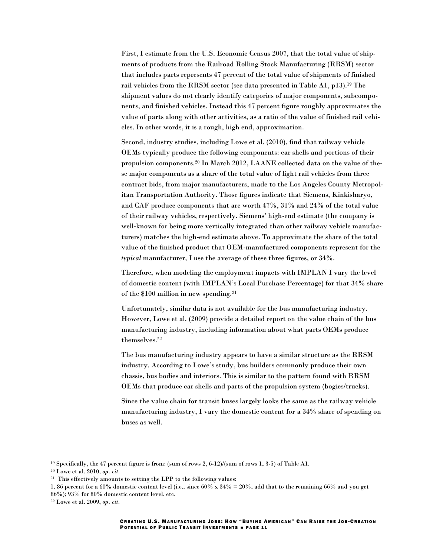First, I estimate from the U.S. Economic Census 2007, that the total value of shipments of products from the Railroad Rolling Stock Manufacturing (RRSM) sector that includes parts represents 47 percent of the total value of shipments of finished rail vehicles from the RRSM sector (see data presented in Table A1, p13).<sup>19</sup> The shipment values do not clearly identify categories of major components, subcomponents, and finished vehicles. Instead this 47 percent figure roughly approximates the value of parts along with other activities, as a ratio of the value of finished rail vehicles. In other words, it is a rough, high end, approximation.

Second, industry studies, including Lowe et al. (2010), find that railway vehicle OEMs typically produce the following components: car shells and portions of their propulsion components.<sup>20</sup> In March 2012, LAANE collected data on the value of these major components as a share of the total value of light rail vehicles from three contract bids, from major manufacturers, made to the Los Angeles County Metropolitan Transportation Authority. Those figures indicate that Siemens, Kinkisharyo, and CAF produce components that are worth 47%, 31% and 24% of the total value of their railway vehicles, respectively. Siemens' high-end estimate (the company is well-known for being more vertically integrated than other railway vehicle manufacturers) matches the high-end estimate above. To approximate the share of the total value of the finished product that OEM-manufactured components represent for the *typical* manufacturer, I use the average of these three figures, or 34%.

Therefore, when modeling the employment impacts with IMPLAN I vary the level of domestic content (with IMPLAN's Local Purchase Percentage) for that 34% share of the \$100 million in new spending.<sup>21</sup>

Unfortunately, similar data is not available for the bus manufacturing industry. However, Lowe et al. (2009) provide a detailed report on the value chain of the bus manufacturing industry, including information about what parts OEMs produce themselves.<sup>22</sup>

The bus manufacturing industry appears to have a similar structure as the RRSM industry. According to Lowe's study, bus builders commonly produce their own chassis, bus bodies and interiors. This is similar to the pattern found with RRSM OEMs that produce car shells and parts of the propulsion system (bogies/trucks).

Since the value chain for transit buses largely looks the same as the railway vehicle manufacturing industry, I vary the domestic content for a 34% share of spending on buses as well.

<sup>19</sup> Specifically, the 47 percent figure is from: (sum of rows 2, 6-12)/(sum of rows 1, 3-5) of Table A1.

<sup>20</sup> Lowe et al. 2010, *op. cit.*

<sup>21</sup> This effectively amounts to setting the LPP to the following values:

<sup>1. 86</sup> percent for a 60% domestic content level (i.e., since 60% x 34% = 20%, add that to the remaining 66% and you get 86%); 93% for 80% domestic content level, etc.

<sup>22</sup> Lowe et al. 2009, *op. cit.*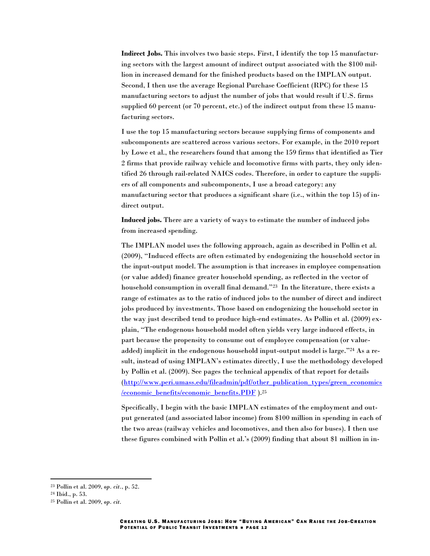**Indirect Jobs.** This involves two basic steps. First, I identify the top 15 manufacturing sectors with the largest amount of indirect output associated with the \$100 million in increased demand for the finished products based on the IMPLAN output. Second, I then use the average Regional Purchase Coefficient (RPC) for these 15 manufacturing sectors to adjust the number of jobs that would result if U.S. firms supplied 60 percent (or 70 percent, etc.) of the indirect output from these 15 manufacturing sectors.

I use the top 15 manufacturing sectors because supplying firms of components and subcomponents are scattered across various sectors. For example, in the 2010 report by Lowe et al., the researchers found that among the 159 firms that identified as Tier 2 firms that provide railway vehicle and locomotive firms with parts, they only identified 26 through rail-related NAICS codes. Therefore, in order to capture the suppliers of all components and subcomponents, I use a broad category: any manufacturing sector that produces a significant share (i.e., within the top 15) of indirect output.

**Induced jobs.** There are a variety of ways to estimate the number of induced jobs from increased spending.

The IMPLAN model uses the following approach, again as described in Pollin et al. (2009), "Induced effects are often estimated by endogenizing the household sector in the input-output model. The assumption is that increases in employee compensation (or value added) finance greater household spending, as reflected in the vector of household consumption in overall final demand."23 In the literature, there exists a range of estimates as to the ratio of induced jobs to the number of direct and indirect jobs produced by investments. Those based on endogenizing the household sector in the way just described tend to produce high-end estimates. As Pollin et al. (2009) explain, "The endogenous household model often yields very large induced effects, in part because the propensity to consume out of employee compensation (or valueadded) implicit in the endogenous household input-output model is large."<sup>24</sup> As a result, instead of using IMPLAN's estimates directly, I use the methodology developed by Pollin et al. (2009). See pages the technical appendix of that report for details [\(http://www.peri.umass.edu/fileadmin/pdf/other\\_publication\\_types/green\\_economics](http://www.peri.umass.edu/fileadmin/pdf/other_publication_types/green_economics/economic_benefits/economic_benefits.PDF) [/economic\\_benefits/economic\\_benefits.PDF](http://www.peri.umass.edu/fileadmin/pdf/other_publication_types/green_economics/economic_benefits/economic_benefits.PDF) ).<sup>25</sup>

Specifically, I begin with the basic IMPLAN estimates of the employment and output generated (and associated labor income) from \$100 million in spending in each of the two areas (railway vehicles and locomotives, and then also for buses). I then use these figures combined with Pollin et al.'s (2009) finding that about \$1 million in in-

<sup>23</sup> Pollin et al. 2009, *op. cit.*, p. 52.

<sup>24</sup> Ibid., p. 53.

<sup>25</sup> Pollin et al. 2009, *op. cit.*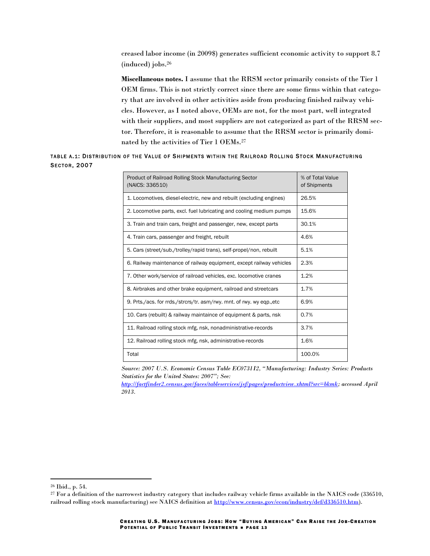creased labor income (in 2009\$) generates sufficient economic activity to support 8.7 (induced) jobs.<sup>26</sup>

**Miscellaneous notes.** I assume that the RRSM sector primarily consists of the Tier 1 OEM firms. This is not strictly correct since there are some firms within that category that are involved in other activities aside from producing finished railway vehicles. However, as I noted above, OEMs are not, for the most part, well integrated with their suppliers, and most suppliers are not categorized as part of the RRSM sector. Therefore, it is reasonable to assume that the RRSM sector is primarily dominated by the activities of Tier 1 OEMs.<sup>27</sup>

# TABLE A.1: DISTRIBUTION OF THE VALUE OF SHIPMENTS WITHIN THE RAILROAD ROLLING STOCK MANUFACTURING SECTOR, 2007

| Product of Railroad Rolling Stock Manufacturing Sector<br>(NAICS: 336510) | % of Total Value<br>of Shipments |
|---------------------------------------------------------------------------|----------------------------------|
| 1. Locomotives, diesel-electric, new and rebuilt (excluding engines)      | 26.5%                            |
| 2. Locomotive parts, excl. fuel lubricating and cooling medium pumps      | 15.6%                            |
| 3. Train and train cars, freight and passenger, new, except parts         | 30.1%                            |
| 4. Train cars, passenger and freight, rebuilt                             | 4.6%                             |
| 5. Cars (street/sub./trolley/rapid trans), self-propel/non, rebuilt       | 5.1%                             |
| 6. Railway maintenance of railway equipment, except railway vehicles      | 2.3%                             |
| 7. Other work/service of railroad vehicles, exc. locomotive cranes        | 1.2%                             |
| 8. Airbrakes and other brake equipment, railroad and streetcars           | 1.7%                             |
| 9. Prts./acs. for rrds./strcrs/tr. asm/rwy. mnt. of rwy. wy eqp., etc.    | 6.9%                             |
| 10. Cars (rebuilt) & railway maintaince of equipment & parts, nsk         | 0.7%                             |
| 11. Railroad rolling stock mfg, nsk, nonadministrative-records            | 3.7%                             |
| 12. Railroad rolling stock mfg, nsk, administrative-records               | 1.6%                             |
| Total                                                                     | 100.0%                           |

*Source: 2007 U.S. Economic Census Table EC0731I2, "Manufacturing: Industry Series: Products Statistics for the United States: 2007"; See:* 

*[http://factfinder2.census.gov/faces/tableservices/jsf/pages/productview.xhtml?src=bkmk;](http://factfinder2.census.gov/faces/tableservices/jsf/pages/productview.xhtml?src=bkmk) accessed April 2013.*

<sup>26</sup> Ibid., p. 54.

<sup>&</sup>lt;sup>27</sup> For a definition of the narrowest industry category that includes railway vehicle firms available in the NAICS code (336510, railroad rolling stock manufacturing) see NAICS definition at [http://www.census.gov/econ/industry/def/d336510.htm\)](http://www.census.gov/econ/industry/def/d336510.htm).